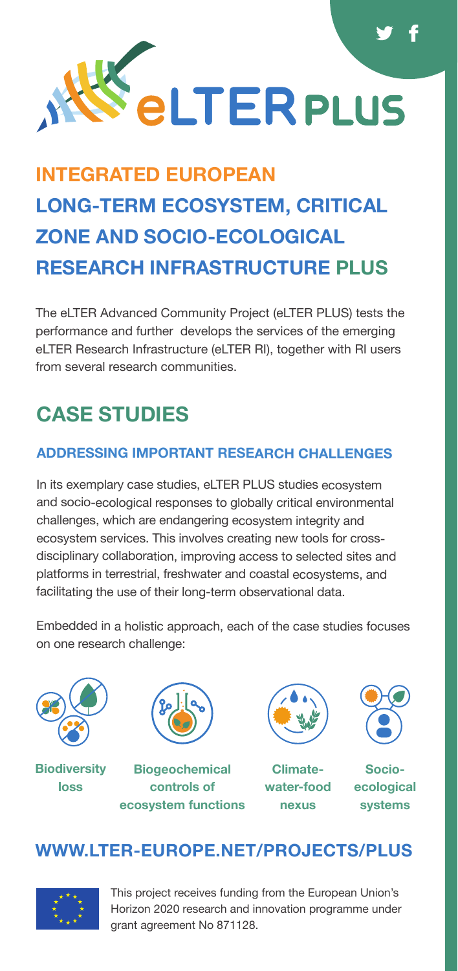

# **INTEGRATED EUROPEAN LONG-TERM ECOSYSTEM, CRITICAL ZONE AND SOCIO-ECOLOGICAL RESEARCH INFRASTRUCTURE PLUS**

The eLTER Advanced Community Project (eLTER PLUS) tests the performance and further develops the services of the emerging eLTER Research Infrastructure (eLTER RI), together with RI users from several research communities.

# **CASE STUDIES**

#### **ADDRESSING IMPORTANT RESEARCH CHALLENGES**

In its exemplary case studies, eLTER PLUS studies ecosystem and socio-ecological responses to globally critical environmental challenges, which are endangering ecosystem integrity and ecosystem services. This involves creating new tools for crossdisciplinary collaboration, improving access to selected sites and platforms in terrestrial, freshwater and coastal ecosystems, and facilitating the use of their long-term observational data.

Embedded in a holistic approach, each of the case studies focuses on one research challenge:



#### **Biodiversity loss**



**Biogeochemical controls of ecosystem functions**



**Climatewater-food nexus**



**Socioecological systems** 

## **[WWW.LTER-EUROPE.NET/PROJECTS/PLUS](https://www.lter-europe.net/projects/PLUS)**



This project receives funding from the European Union's Horizon 2020 research and innovation programme under grant agreement No 871128.